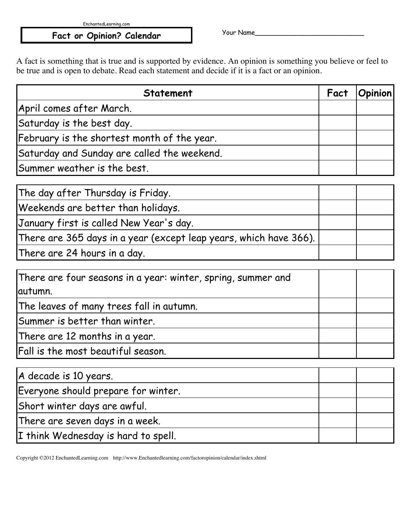EnchantedLearning.com

## Fact or Opinion? Calendar The Vour Name\_

A fact is something that is true and is supported by evidence. An opinion is something you believe or feel to be true and is open to debate. Read each statement and decide if it is a fact or an opinion.

| <b>Statement</b>                            | Fact | <b>Opinion</b> |
|---------------------------------------------|------|----------------|
| April comes after March.                    |      |                |
| Saturday is the best day.                   |      |                |
| February is the shortest month of the year. |      |                |
| Saturday and Sunday are called the weekend. |      |                |
| Summer weather is the best.                 |      |                |

| The day after Thursday is Friday.                                 |  |
|-------------------------------------------------------------------|--|
| Weekends are better than holidays.                                |  |
| January first is called New Year's day.                           |  |
| There are 365 days in a year (except leap years, which have 366). |  |
| There are 24 hours in a day.                                      |  |

| There are four seasons in a year: winter, spring, summer and |  |
|--------------------------------------------------------------|--|
| autumn.                                                      |  |
| The leaves of many trees fall in autumn.                     |  |
| Summer is better than winter.                                |  |
| There are 12 months in a year.                               |  |
| Fall is the most beautiful season.                           |  |

| A decade is 10 years.               |  |
|-------------------------------------|--|
| Everyone should prepare for winter. |  |
| Short winter days are awful.        |  |
| There are seven days in a week.     |  |
| I think Wednesday is hard to spell. |  |

Copyright ©2012 EnchantedLearning.com http://www.Enchantedlearning.com/factoropinion/calendar/index.shtml